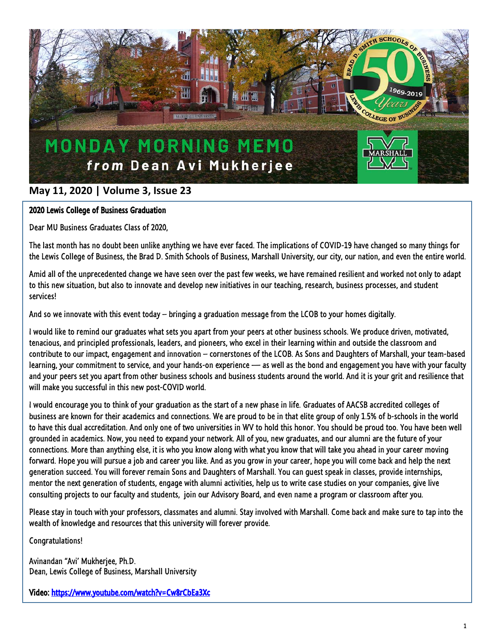

## **May 11, 2020 | Volume 3, Issue 23**

## 2020 Lewis College of Business Graduation

Dear MU Business Graduates Class of 2020,

The last month has no doubt been unlike anything we have ever faced. The implications of COVID-19 have changed so many things for the Lewis College of Business, the Brad D. Smith Schools of Business, Marshall University, our city, our nation, and even the entire world.

Amid all of the unprecedented change we have seen over the past few weeks, we have remained resilient and worked not only to adapt to this new situation, but also to innovate and develop new initiatives in our teaching, research, business processes, and student services!

And so we innovate with this event today – bringing a graduation message from the LCOB to your homes digitally.

I would like to remind our graduates what sets you apart from your peers at other business schools. We produce driven, motivated, tenacious, and principled professionals, leaders, and pioneers, who excel in their learning within and outside the classroom and contribute to our impact, engagement and innovation – cornerstones of the LCOB. As Sons and Daughters of Marshall, your team-based learning, your commitment to service, and your hands-on experience — as well as the bond and engagement you have with your faculty and your peers set you apart from other business schools and business students around the world. And it is your grit and resilience that will make you successful in this new post-COVID world.

I would encourage you to think of your graduation as the start of a new phase in life. Graduates of AACSB accredited colleges of business are known for their academics and connections. We are proud to be in that elite group of only 1.5% of b-schools in the world to have this dual accreditation. And only one of two universities in WV to hold this honor. You should be proud too. You have been well grounded in academics. Now, you need to expand your network. All of you, new graduates, and our alumni are the future of your connections. More than anything else, it is who you know along with what you know that will take you ahead in your career moving forward. Hope you will pursue a job and career you like. And as you grow in your career, hope you will come back and help the next generation succeed. You will forever remain Sons and Daughters of Marshall. You can guest speak in classes, provide internships, mentor the next generation of students, engage with alumni activities, help us to write case studies on your companies, give live consulting projects to our faculty and students, join our Advisory Board, and even name a program or classroom after you.

Please stay in touch with your professors, classmates and alumni. Stay involved with Marshall. Come back and make sure to tap into the wealth of knowledge and resources that this university will forever provide.

Congratulations!

Avinandan "Avi' Mukherjee, Ph.D. Dean, Lewis College of Business, Marshall University

Video:<https://www.youtube.com/watch?v=Cw8rCbEa3Xc>